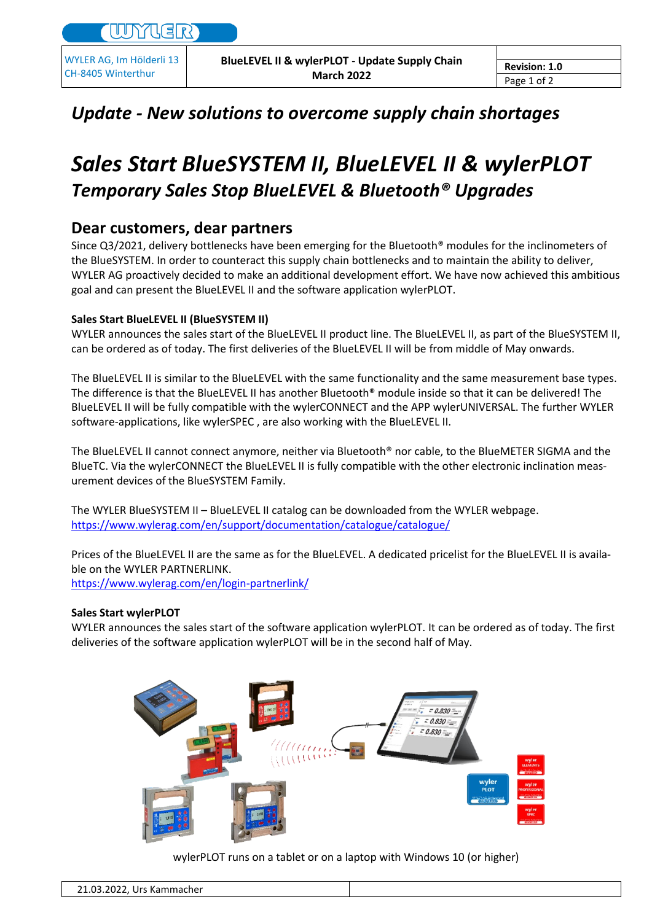WYLER AG, Im Hölderli 13 CH-8405 Winterthur

## *Update - New solutions to overcome supply chain shortages*

# *Sales Start BlueSYSTEM II, BlueLEVEL II & wylerPLOT Temporary Sales Stop BlueLEVEL & Bluetooth® Upgrades*

### **Dear customers, dear partners**

Since Q3/2021, delivery bottlenecks have been emerging for the Bluetooth<sup>®</sup> modules for the inclinometers of the BlueSYSTEM. In order to counteract this supply chain bottlenecks and to maintain the ability to deliver, WYLER AG proactively decided to make an additional development effort. We have now achieved this ambitious goal and can present the BlueLEVEL II and the software application wylerPLOT.

#### **Sales Start BlueLEVEL II (BlueSYSTEM II)**

WYLER announces the sales start of the BlueLEVEL II product line. The BlueLEVEL II, as part of the BlueSYSTEM II, can be ordered as of today. The first deliveries of the BlueLEVEL II will be from middle of May onwards.

The BlueLEVEL II is similar to the BlueLEVEL with the same functionality and the same measurement base types. The difference is that the BlueLEVEL II has another Bluetooth® module inside so that it can be delivered! The BlueLEVEL II will be fully compatible with the wylerCONNECT and the APP wylerUNIVERSAL. The further WYLER software-applications, like wylerSPEC , are also working with the BlueLEVEL II.

The BlueLEVEL II cannot connect anymore, neither via Bluetooth® nor cable, to the BlueMETER SIGMA and the BlueTC. Via the wylerCONNECT the BlueLEVEL II is fully compatible with the other electronic inclination measurement devices of the BlueSYSTEM Family.

The WYLER BlueSYSTEM II – BlueLEVEL II catalog can be downloaded from the WYLER webpage. <https://www.wylerag.com/en/support/documentation/catalogue/catalogue/>

Prices of the BlueLEVEL II are the same as for the BlueLEVEL. A dedicated pricelist for the BlueLEVEL II is available on the WYLER PARTNERLINK.

<https://www.wylerag.com/en/login-partnerlink/>

#### **Sales Start wylerPLOT**

WYLER announces the sales start of the software application wylerPLOT. It can be ordered as of today. The first deliveries of the software application wylerPLOT will be in the second half of May.



wylerPLOT runs on a tablet or on a laptop with Windows 10 (or higher)

| $\mathbf{a}$<br>n.<br>.<br>، Kammacher<br>21.03.2022,<br>urs |  |
|--------------------------------------------------------------|--|
|                                                              |  |